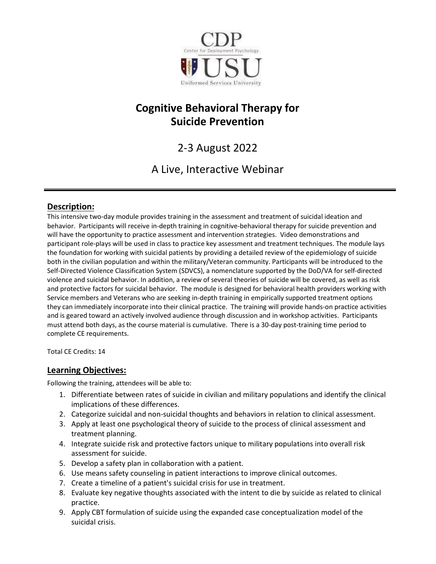

# Cognitive Behavioral Therapy for Suicide Prevention

# 2-3 August 2022

# A Live, Interactive Webinar

# Description:

This intensive two-day module provides training in the assessment and treatment of suicidal ideation and behavior. Participants will receive in-depth training in cognitive-behavioral therapy for suicide prevention and will have the opportunity to practice assessment and intervention strategies. Video demonstrations and participant role-plays will be used in class to practice key assessment and treatment techniques. The module lays the foundation for working with suicidal patients by providing a detailed review of the epidemiology of suicide both in the civilian population and within the military/Veteran community. Participants will be introduced to the Self-Directed Violence Classification System (SDVCS), a nomenclature supported by the DoD/VA for self-directed violence and suicidal behavior. In addition, a review of several theories of suicide will be covered, as well as risk and protective factors for suicidal behavior. The module is designed for behavioral health providers working with Service members and Veterans who are seeking in-depth training in empirically supported treatment options they can immediately incorporate into their clinical practice. The training will provide hands-on practice activities and is geared toward an actively involved audience through discussion and in workshop activities. Participants must attend both days, as the course material is cumulative. There is a 30-day post-training time period to complete CE requirements.

Total CE Credits: 14

# Learning Objectives:

Following the training, attendees will be able to:

- 1. Differentiate between rates of suicide in civilian and military populations and identify the clinical implications of these differences.
- 2. Categorize suicidal and non-suicidal thoughts and behaviors in relation to clinical assessment.
- 3. Apply at least one psychological theory of suicide to the process of clinical assessment and treatment planning.
- 4. Integrate suicide risk and protective factors unique to military populations into overall risk assessment for suicide.
- 5. Develop a safety plan in collaboration with a patient.
- 6. Use means safety counseling in patient interactions to improve clinical outcomes.
- 7. Create a timeline of a patient's suicidal crisis for use in treatment.
- 8. Evaluate key negative thoughts associated with the intent to die by suicide as related to clinical practice.
- 9. Apply CBT formulation of suicide using the expanded case conceptualization model of the suicidal crisis.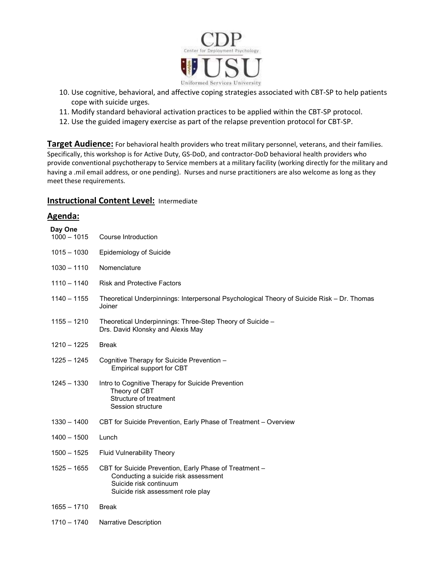

- 10. Use cognitive, behavioral, and affective coping strategies associated with CBT-SP to help patients cope with suicide urges.
- 11. Modify standard behavioral activation practices to be applied within the CBT-SP protocol.
- 12. Use the guided imagery exercise as part of the relapse prevention protocol for CBT-SP.

Target Audience: For behavioral health providers who treat military personnel, veterans, and their families. Specifically, this workshop is for Active Duty, GS-DoD, and contractor-DoD behavioral health providers who provide conventional psychotherapy to Service members at a military facility (working directly for the military and having a .mil email address, or one pending). Nurses and nurse practitioners are also welcome as long as they meet these requirements.

## **Instructional Content Level: Intermediate**

## Agenda:

| Day One<br>$1000 - 1015$ | Course Introduction                                                                                                                                           |
|--------------------------|---------------------------------------------------------------------------------------------------------------------------------------------------------------|
| $1015 - 1030$            | <b>Epidemiology of Suicide</b>                                                                                                                                |
| $1030 - 1110$            | Nomenclature                                                                                                                                                  |
| $1110 - 1140$            | <b>Risk and Protective Factors</b>                                                                                                                            |
| $1140 - 1155$            | Theoretical Underpinnings: Interpersonal Psychological Theory of Suicide Risk - Dr. Thomas<br>Joiner                                                          |
| $1155 - 1210$            | Theoretical Underpinnings: Three-Step Theory of Suicide -<br>Drs. David Klonsky and Alexis May                                                                |
| $1210 - 1225$            | <b>Break</b>                                                                                                                                                  |
| 1225 - 1245              | Cognitive Therapy for Suicide Prevention -<br>Empirical support for CBT                                                                                       |
| 1245 - 1330              | Intro to Cognitive Therapy for Suicide Prevention<br>Theory of CBT<br>Structure of treatment<br>Session structure                                             |
| $1330 - 1400$            | CBT for Suicide Prevention, Early Phase of Treatment - Overview                                                                                               |
| $1400 - 1500$            | Lunch                                                                                                                                                         |
| $1500 - 1525$            | <b>Fluid Vulnerability Theory</b>                                                                                                                             |
| $1525 - 1655$            | CBT for Suicide Prevention, Early Phase of Treatment -<br>Conducting a suicide risk assessment<br>Suicide risk continuum<br>Suicide risk assessment role play |
| $1655 - 1710$            | <b>Break</b>                                                                                                                                                  |
| $1710 - 1740$            | <b>Narrative Description</b>                                                                                                                                  |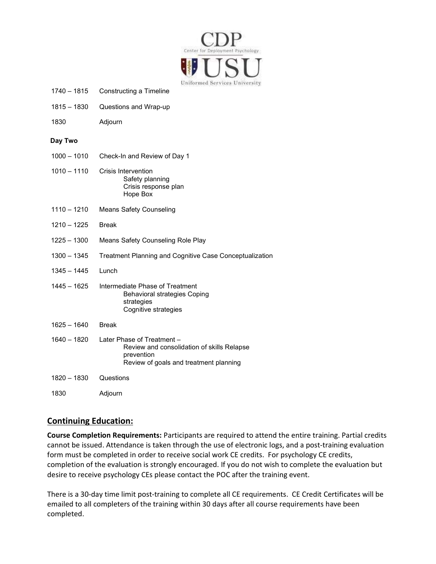

| $1740 - 1815$ | Constructing a Timeline |
|---------------|-------------------------|
|---------------|-------------------------|

- 1815 1830 Questions and Wrap-up
- 1830 Adjourn

#### Day Two

| $1000 - 1010$ | Check-In and Review of Day 1                                                                                                     |
|---------------|----------------------------------------------------------------------------------------------------------------------------------|
| $1010 - 1110$ | Crisis Intervention<br>Safety planning<br>Crisis response plan<br>Hope Box                                                       |
| $1110 - 1210$ | Means Safety Counseling                                                                                                          |
| 1210 - 1225   | <b>Break</b>                                                                                                                     |
| 1225 - 1300   | Means Safety Counseling Role Play                                                                                                |
| $1300 - 1345$ | Treatment Planning and Cognitive Case Conceptualization                                                                          |
| $1345 - 1445$ | Lunch                                                                                                                            |
| 1445 - 1625   | Intermediate Phase of Treatment<br><b>Behavioral strategies Coping</b><br>strategies<br>Cognitive strategies                     |
| $1625 - 1640$ | <b>Break</b>                                                                                                                     |
| 1640 - 1820   | Later Phase of Treatment -<br>Review and consolidation of skills Relapse<br>prevention<br>Review of goals and treatment planning |
| 1820 - 1830   | Questions                                                                                                                        |
| 1830          | Adjourn                                                                                                                          |

## Continuing Education:

Course Completion Requirements: Participants are required to attend the entire training. Partial credits cannot be issued. Attendance is taken through the use of electronic logs, and a post-training evaluation form must be completed in order to receive social work CE credits. For psychology CE credits, completion of the evaluation is strongly encouraged. If you do not wish to complete the evaluation but desire to receive psychology CEs please contact the POC after the training event.

There is a 30-day time limit post-training to complete all CE requirements. CE Credit Certificates will be emailed to all completers of the training within 30 days after all course requirements have been completed.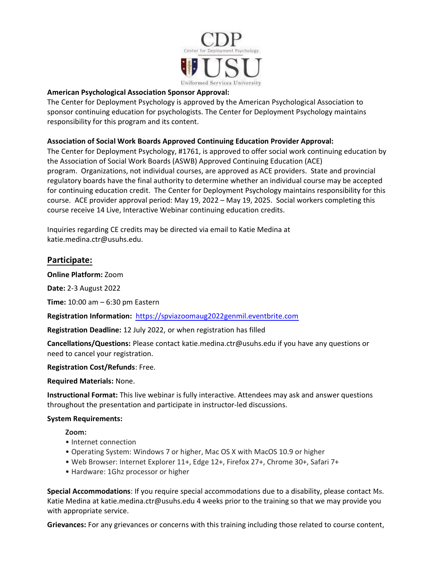

### American Psychological Association Sponsor Approval:

The Center for Deployment Psychology is approved by the American Psychological Association to sponsor continuing education for psychologists. The Center for Deployment Psychology maintains responsibility for this program and its content.

## Association of Social Work Boards Approved Continuing Education Provider Approval:

The Center for Deployment Psychology, #1761, is approved to offer social work continuing education by the Association of Social Work Boards (ASWB) Approved Continuing Education (ACE) program. Organizations, not individual courses, are approved as ACE providers. State and provincial regulatory boards have the final authority to determine whether an individual course may be accepted for continuing education credit. The Center for Deployment Psychology maintains responsibility for this course. ACE provider approval period: May 19, 2022 – May 19, 2025. Social workers completing this course receive 14 Live, Interactive Webinar continuing education credits.

Inquiries regarding CE credits may be directed via email to Katie Medina at katie.medina.ctr@usuhs.edu.

# Participate:

Online Platform: Zoom

Date: 2-3 August 2022

Time: 10:00 am – 6:30 pm Eastern

Registration Information: https://spviazoomaug2022genmil.eventbrite.com

Registration Deadline: 12 July 2022, or when registration has filled

Cancellations/Questions: Please contact katie.medina.ctr@usuhs.edu if you have any questions or need to cancel your registration.

Registration Cost/Refunds: Free.

Required Materials: None.

Instructional Format: This live webinar is fully interactive. Attendees may ask and answer questions throughout the presentation and participate in instructor-led discussions.

### System Requirements:

Zoom:

- Internet connection
- Operating System: Windows 7 or higher, Mac OS X with MacOS 10.9 or higher
- Web Browser: Internet Explorer 11+, Edge 12+, Firefox 27+, Chrome 30+, Safari 7+
- Hardware: 1Ghz processor or higher

Special Accommodations: If you require special accommodations due to a disability, please contact Ms. Katie Medina at katie.medina.ctr@usuhs.edu 4 weeks prior to the training so that we may provide you with appropriate service.

Grievances: For any grievances or concerns with this training including those related to course content,